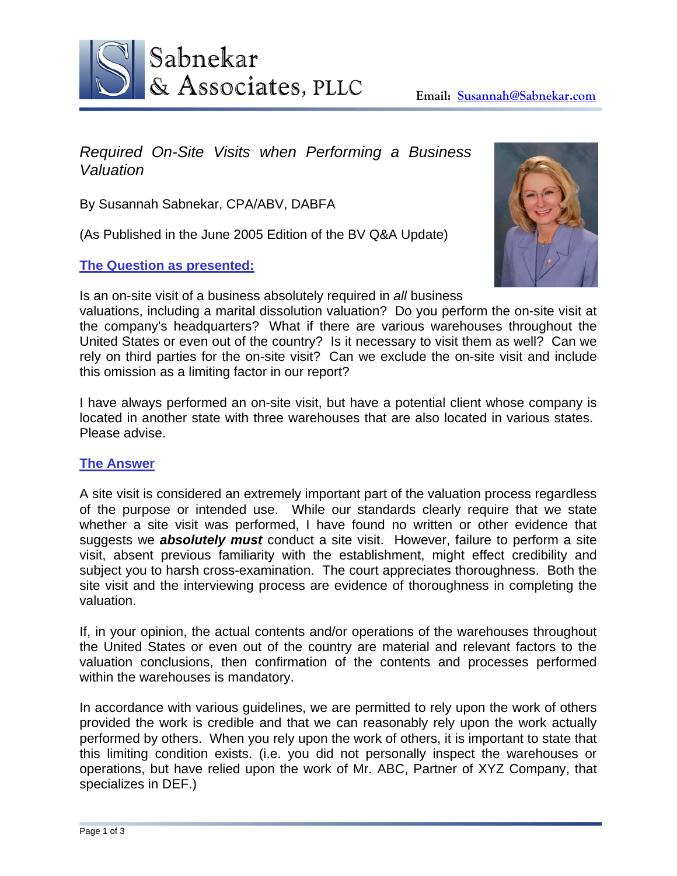

# *Required On-Site Visits when Performing a Business Valuation*

By Susannah Sabnekar, CPA/ABV, DABFA

(As Published in the June 2005 Edition of the BV Q&A Update)

### **The Question as presented:**

Is an on-site visit of a business absolutely required in *all* business

valuations, including a marital dissolution valuation? Do you perform the on-site visit at the company's headquarters? What if there are various warehouses throughout the United States or even out of the country? Is it necessary to visit them as well? Can we rely on third parties for the on-site visit? Can we exclude the on-site visit and include this omission as a limiting factor in our report?

I have always performed an on-site visit, but have a potential client whose company is located in another state with three warehouses that are also located in various states. Please advise.

#### **The Answer**

A site visit is considered an extremely important part of the valuation process regardless of the purpose or intended use. While our standards clearly require that we state whether a site visit was performed, I have found no written or other evidence that suggests we *absolutely must* conduct a site visit. However, failure to perform a site visit, absent previous familiarity with the establishment, might effect credibility and subject you to harsh cross-examination. The court appreciates thoroughness. Both the site visit and the interviewing process are evidence of thoroughness in completing the valuation.

If, in your opinion, the actual contents and/or operations of the warehouses throughout the United States or even out of the country are material and relevant factors to the valuation conclusions, then confirmation of the contents and processes performed within the warehouses is mandatory.

In accordance with various guidelines, we are permitted to rely upon the work of others provided the work is credible and that we can reasonably rely upon the work actually performed by others. When you rely upon the work of others, it is important to state that this limiting condition exists. (i.e. you did not personally inspect the warehouses or operations, but have relied upon the work of Mr. ABC, Partner of XYZ Company, that specializes in DEF.)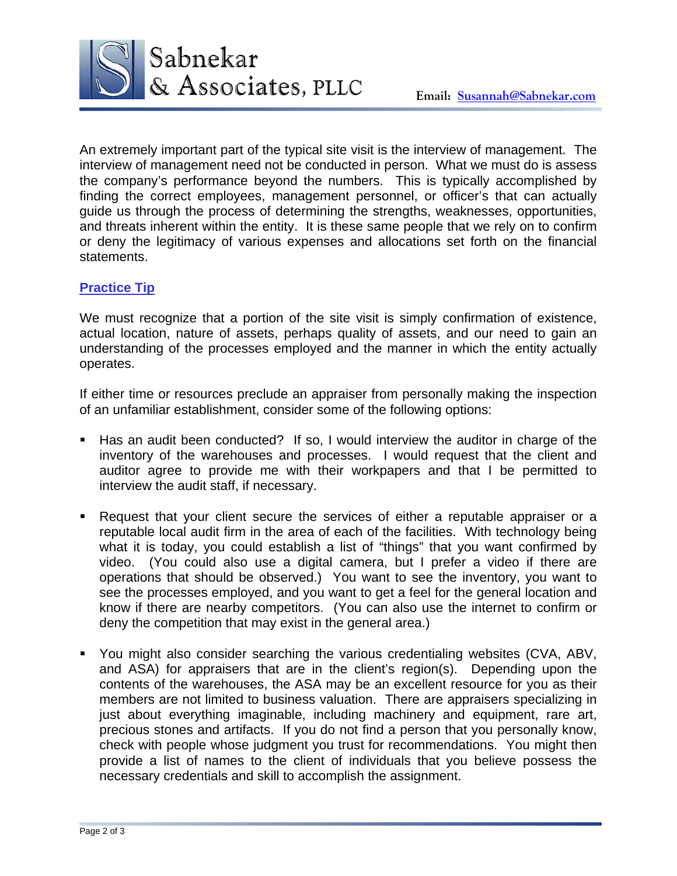

An extremely important part of the typical site visit is the interview of management. The interview of management need not be conducted in person. What we must do is assess the company's performance beyond the numbers. This is typically accomplished by finding the correct employees, management personnel, or officer's that can actually guide us through the process of determining the strengths, weaknesses, opportunities, and threats inherent within the entity. It is these same people that we rely on to confirm or deny the legitimacy of various expenses and allocations set forth on the financial statements.

## **Practice Tip**

We must recognize that a portion of the site visit is simply confirmation of existence, actual location, nature of assets, perhaps quality of assets, and our need to gain an understanding of the processes employed and the manner in which the entity actually operates.

If either time or resources preclude an appraiser from personally making the inspection of an unfamiliar establishment, consider some of the following options:

- Has an audit been conducted? If so, I would interview the auditor in charge of the inventory of the warehouses and processes. I would request that the client and auditor agree to provide me with their workpapers and that I be permitted to interview the audit staff, if necessary.
- Request that your client secure the services of either a reputable appraiser or a reputable local audit firm in the area of each of the facilities. With technology being what it is today, you could establish a list of "things" that you want confirmed by video. (You could also use a digital camera, but I prefer a video if there are operations that should be observed.) You want to see the inventory, you want to see the processes employed, and you want to get a feel for the general location and know if there are nearby competitors. (You can also use the internet to confirm or deny the competition that may exist in the general area.)
- You might also consider searching the various credentialing websites (CVA, ABV, and ASA) for appraisers that are in the client's region(s). Depending upon the contents of the warehouses, the ASA may be an excellent resource for you as their members are not limited to business valuation. There are appraisers specializing in just about everything imaginable, including machinery and equipment, rare art, precious stones and artifacts. If you do not find a person that you personally know, check with people whose judgment you trust for recommendations. You might then provide a list of names to the client of individuals that you believe possess the necessary credentials and skill to accomplish the assignment.